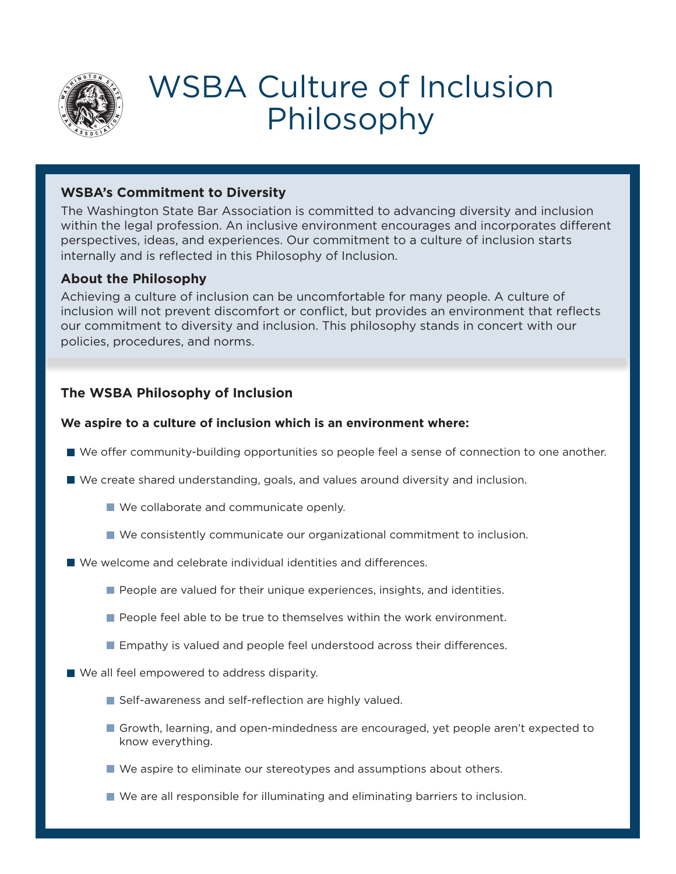

# WSBA Culture of Inclusion Philosophy

### **WSBA's Commitment to Diversity**

The Washington State Bar Association is committed to advancing diversity and inclusion within the legal profession. An inclusive environment encourages and incorporates different perspectives, ideas, and experiences. Our commitment to a culture of inclusion starts internally and is reflected in this Philosophy of Inclusion.

### **About the Philosophy**

Achieving a culture of inclusion can be uncomfortable for many people. A culture of inclusion will not prevent discomfort or conflict, but provides an environment that reflects our commitment to diversity and inclusion. This philosophy stands in concert with our policies, procedures, and norms.

## **The WSBA Philosophy of Inclusion**

#### **We aspire to a culture of inclusion which is an environment where:**

- We offer community-building opportunities so people feel a sense of connection to one another.
- We create shared understanding, goals, and values around diversity and inclusion.
	- We collaborate and communicate openly.
	- We consistently communicate our organizational commitment to inclusion.
- We welcome and celebrate individual identities and differences.
	- **People are valued for their unique experiences, insights, and identities.**
	- **People feel able to be true to themselves within the work environment.**
	- **Example 1** Empathy is valued and people feel understood across their differences.
- We all feel empowered to address disparity.
	- Self-awareness and self-reflection are highly valued.
	- Growth, learning, and open-mindedness are encouraged, yet people aren't expected to know everything.
	- We aspire to eliminate our stereotypes and assumptions about others.
	- We are all responsible for illuminating and eliminating barriers to inclusion.